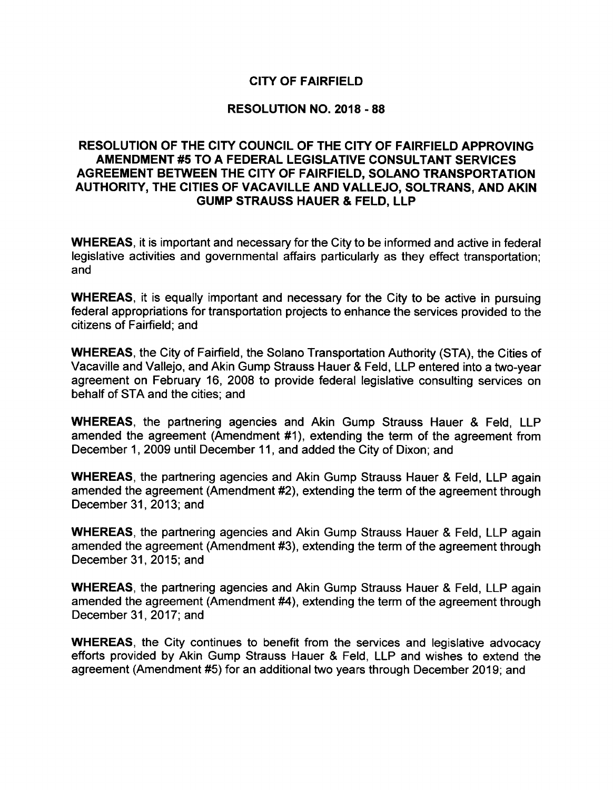# CITY OF FAIRFIELD

## RESOLUTION NO. 2018 - 88

# RESOLUTION OF THE CITY COUNCIL OF THE CITY OF FAIRFIELD APPROVING AMENDMENT #5 TO A FEDERAL LEGISLATIVE CONSULTANT SERVICES AGREEMENT BETWEEN THE CITY OF FAIRFIELD, SOLANO TRANSPORTATION AUTHORITY, THE CITIES OF VACAVILLE AND VALLEJO, SOLTRANS, AND AKIN GUMP STRAUSS HAUER & FELD, LLP

WHEREAS, it is important and necessary for the City to be informed and active in federal legislative activities and governmental affairs particularly as they effect transportation; and

WHEREAS, it is equally important and necessary for the City to be active in pursuing federal appropriations for transportation projects to enhance the services provided to the citizens of Fairfield; and

WHEREAS, the City of Fairfield, the Solano Transportation Authority (STA), the Cities of Vacaville and Vallejo, and Akin Gump Strauss Hauer& Feld, LLP entered into a two-year agreement on February 16, 2008 to provide federal legislative consulting services on behalf of STA and the cities; and

WHEREAS, the partnering agencies and Akin Gump Strauss Hauer & Feld, LLP amended the agreement (Amendment #1), extending the term of the agreement from December 1, 2009 until December 11, and added the City of Dixon; and

WHEREAS, the partnering agencies and Akin Gump Strauss Hauer & Feld, LLP again amended the agreement (Amendment #2), extending the term of the agreement through December 31, 2013; and

WHEREAS, the partnering agencies and Akin Gump Strauss Hauer & Feld, LLP again amended the agreement (Amendment #3), extending the term of the agreement through December 31, 2015; and

WHEREAS, the partnering agencies and Akin Gump Strauss Hauer & Feld, LLP again amended the agreement (Amendment #4), extending the term of the agreement through December 31, 2017; and

WHEREAS, the City continues to benefit from the services and legislative advocacy efforts provided by Akin Gump Strauss Hauer & Feld, LLP and wishes to extend the agreement (Amendment #5) for an additional two years through December 2019; and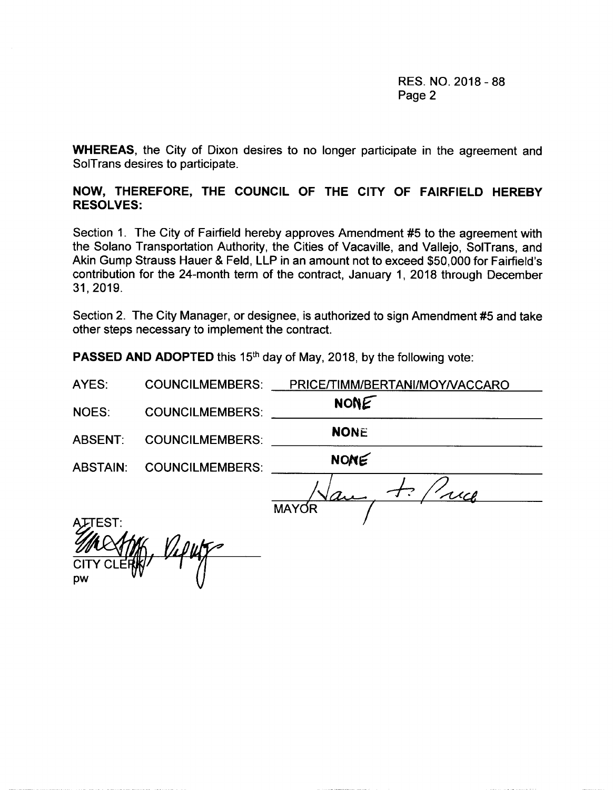RES. NO. 2018 - 88 Page 2

WHEREAS, the City of Dixon desires to no longer participate in the agreement and SolTrans desires to participate.

# NOW, THEREFORE, THE COUNCIL OF THE CITY OF FAIRFIELD HEREBY RESOLVES:

Section 1. The City of Fairfield hereby approves Amendment #<sup>5</sup> to the agreement with the Solano Transportation Authority, the Cities of Vacaville, and Vallejo, SolTrans, and Akin Gump Strauss Hauer & Feld, LLP in an amount not to exceed \$50,000 for Fairfield's contribution for the 24-month term of the contract, January 1, 2018 through December 31, 2019.

Section 2. The City Manager, or designee, is authorized to sign Amendment #5 and take other steps necessary to implement the contract.

PASSED AND ADOPTED this 15<sup>th</sup> day of May, 2018, by the following vote:

AYES: COUNCILMEMBERS: PRICE/TIMM/BERTANI/MOY/VACCARO

NONE

NOES: COUNCILMEMBERS: NONE

ABSENT: COUNCILMEMBERS:

ABSTAIN: COUNCILMEMBERS: NONE

 $\frac{1}{1}$  $\bm{\mathcal{F}}$  $\sqrt{a}$ MAYOR

ላፓEST:  $V$ ilah, Vilut CITY CLERIC pw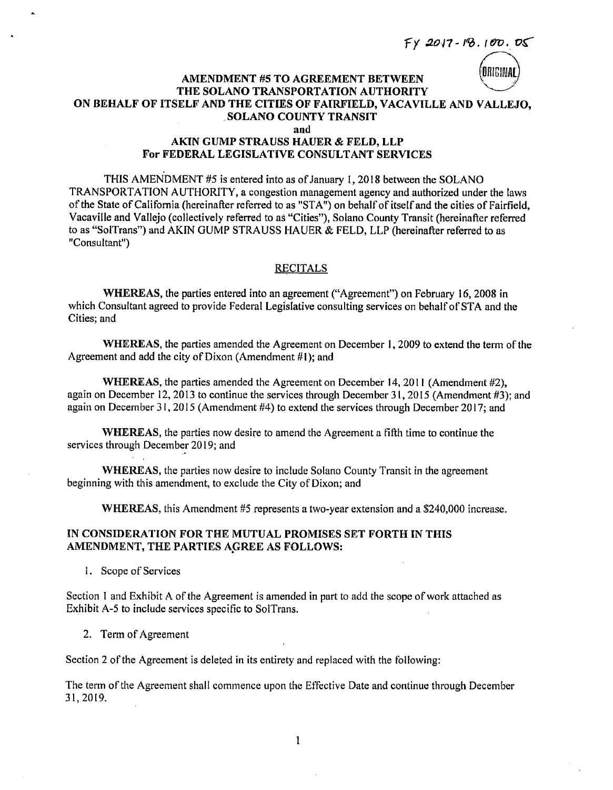$FX 2017 - 18.100.05$ 

# ORIGINAL

#### **AMENDMENT #5 TO AGREEMENT BETWEEN** THE SOLANO TRANSPORTATION AUTHORITY ON BEHALF OF ITSELF AND THE CITIES OF FAIRFIELD, VACAVILLE AND VALLEJO, **SOLANO COUNTY TRANSIT** and

## **AKIN GUMP STRAUSS HAUER & FELD. LLP** For FEDERAL LEGISLATIVE CONSULTANT SERVICES

THIS AMENDMENT #5 is entered into as of January 1, 2018 between the SOLANO TRANSPORTATION AUTHORITY, a congestion management agency and authorized under the laws of the State of California (hereinafter referred to as "STA") on behalf of itself and the cities of Fairfield, Vacaville and Vallejo (collectively referred to as "Cities"), Solano County Transit (hereinafter referred to as "SolTrans") and AKIN GUMP STRAUSS HAUER & FELD, LLP (hereinafter referred to as "Consultant")

## **RECITALS**

WHEREAS, the parties entered into an agreement ("Agreement") on February 16, 2008 in which Consultant agreed to provide Federal Legislative consulting services on behalf of STA and the Cities; and

WHEREAS, the parties amended the Agreement on December 1, 2009 to extend the term of the Agreement and add the city of Dixon (Amendment #1); and

WHEREAS, the parties amended the Agreement on December 14, 2011 (Amendment #2), again on December 12, 2013 to continue the services through December 31, 2015 (Amendment #3); and again on December 31, 2015 (Amendment #4) to extend the services through December 2017; and

**WHEREAS**, the parties now desire to amend the Agreement a fifth time to continue the services through December 2019; and

WHEREAS, the parties now desire to include Solano County Transit in the agreement beginning with this amendment, to exclude the City of Dixon; and

WHEREAS, this Amendment #5 represents a two-year extension and a \$240,000 increase.

## IN CONSIDERATION FOR THE MUTUAL PROMISES SET FORTH IN THIS AMENDMENT, THE PARTIES AGREE AS FOLLOWS:

1. Scope of Services

Section 1 and Exhibit A of the Agreement is amended in part to add the scope of work attached as Exhibit A-5 to include services specific to SolTrans.

2. Term of Agreement

Section 2 of the Agreement is deleted in its entirety and replaced with the following:

The term of the Agreement shall commence upon the Effective Date and continue through December 31, 2019.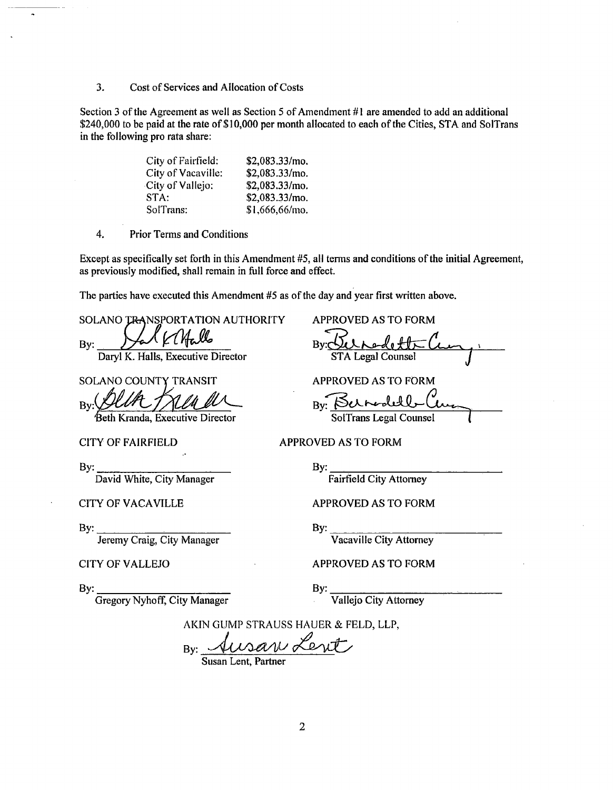3. Cost of Services and Allocation of Costs

Section 3 of the Agreement as well as Section 5 of Amendment  $#1$  are amended to add an additional \$240,000 to be paid at the rate of \$10,000 per month allocated to each of the Cities, STA and SolTrans in the following pro rata share:

| City of Fairfield: | $$2,083.33/mol$ . |
|--------------------|-------------------|
| City of Vacaville: | \$2,083.33/mo.    |
| City of Vallejo:   | \$2,083.33/mo.    |
| STA:               | $$2,083.33/mol$ . |
| SolTrans:          | \$1,666,66/mo.    |

4. Prior Terms and Conditions

Except as specifically set forth in this Amendment #5, all terms and conditions of the initial Agreement, as previously modified, shall remain in full force and effect.

The parties have executed this Amendment #5 as of the day and year first written above.

SOLANO TRANSPORTATION AUTHORITY APPROVED AS TO FORM

 $By:$  Var Kl $H$ allo

SOLANO COUNTY TRANSIT APPROVED AS TO FORM

 $By: \frac{\cancel{\text{Such}}}{\text{Seth Kranda}}$   $\frac{\cancel{\text{Such}}}{\text{SetH Kranda}}$   $\frac{\cancel{\text{Such}}}{\text{SetH Kranda}}$ 

Beth Kranda, Executive Director

By:  $\qquad \qquad$  By:

David White, City Manager Fairfield City Attorney

Jeremy Craig, City Manager **Vacaville City Attorney** 

Gregory Nyhoff, City Manager Vallejo City Attorney

By:g Daryl K. Halls, Executive Director STA Legal Counsel

CITY OF FAIRFIELD APPROVED AS TO FORM

CITY OF VACAVILLE APPROVED AS TO FORM

By: By:

CITY OF VALLEJO APPROVED AS TO FORM

By: By:

AKIN GUMP STRAUSS HAUER & FELD, LLP,

 $By:$  Ausan Le

Susan Lent, Partner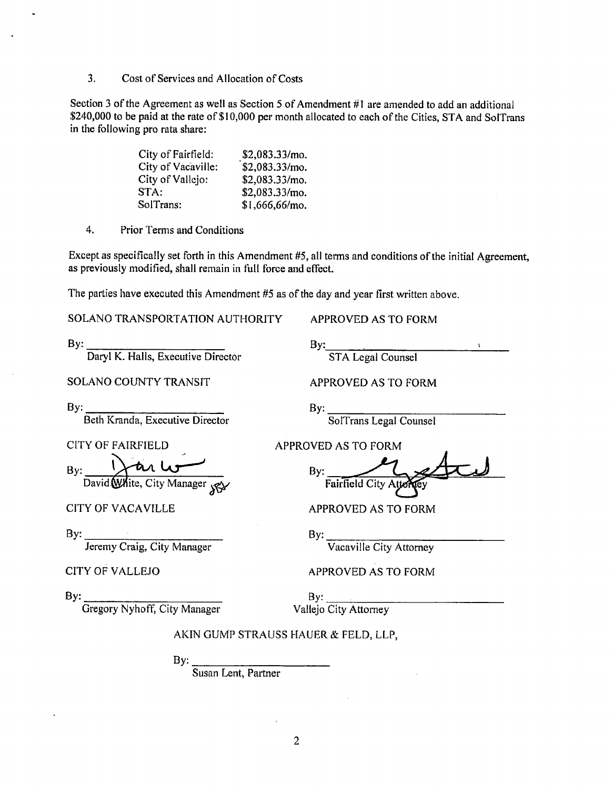3. Cost of Services and Allocation of Costs

Section 3 of the Agreement as well as Section 5 of Amendment #1 are amended to add an additional \$240,000 to be paid at the rate of \$10,000 per month allocated to each of the Cities, STA and SolTrans in the following pro rata share:

| City of Fairfield: | \$2,083.33/mol. |
|--------------------|-----------------|
| City of Vacaville: | \$2,083.33/mo.  |
| City of Vallejo:   | \$2,083.33/mo.  |
| STA:               | \$2,083.33/mol. |
| SolTrans:          | \$1,666,66/mo.  |

4. Prior Terms and Conditions

Except as specifically set forth in this Amendment #5, all terms and conditions of the initial Agreement, as previously modified, shall remain in full force and effect.

The parties have executed this Amendment #5 as of the day and year first written above.

SOLANO TRANSPORTATION AUTHORITY APPROVED AS TO FORM

 $\mathsf{By:}$   $\qquad \qquad \mathsf{By:}$ Daryl K. Halls, Executive Director STA Legal Counsel

SOLANO COUNTY TRANSIT APPROVED AS TO FORM

By: Beth Kranda, Executive Director

 $By: \_\_\_Y$  and  $\overline{dy}$  By:

By:  $\qquad \qquad \qquad \text{By:}$ 

Jeremy Craig, City Manager Vacaville City Attorney

By: SolTrans Legal Counsel

CITY OF FAIRFIELD APPROVED AS TO FORM

David. White, City Manager <sub>SKY</sub> Fairfield City Attorney

CITY OF VACAVILLE APPROVED AS TO FORM

CITY OF VALLEJO APPROVED AS TO FORM

Gregory Nyhoff, City Manager Vallejo City Attorney

 $By:$  By:

## AKIN GUMP STRAUSS HAUER & FELD, LLP,

By:

Susan Lent, Partner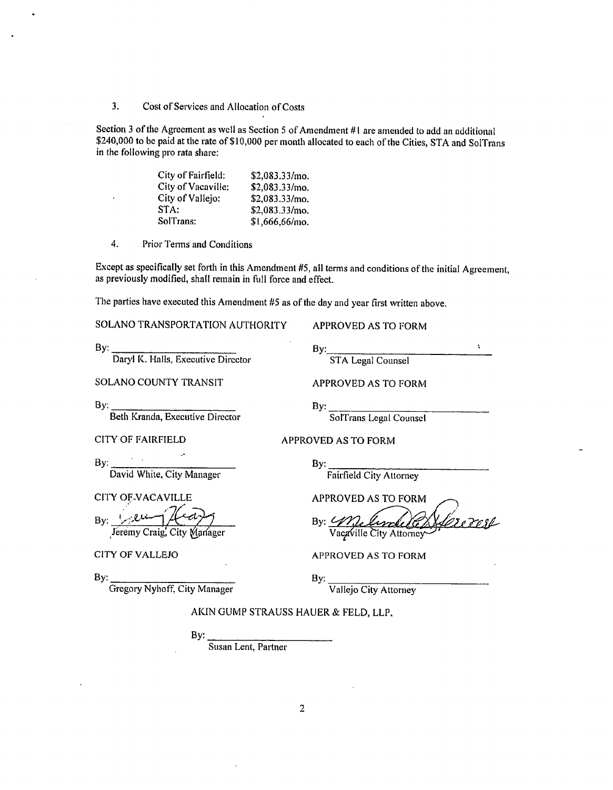Cost of Services and Allocation of Costs  $3.$ 

Section 3 of the Agreement as well as Section 5 of Amendment #1 are amended to add an additional \$240,000 to be paid at the rate of \$10,000 per month allocated to each of the Cities, STA and SolTrans in the following pro rata share:

| City of Fairfield: | \$2,083.33/mo.    |
|--------------------|-------------------|
| City of Vacaville: | $$2,083.33/mol$ . |
| City of Vallejo:   | \$2,083.33/mo.    |
| STA:               | \$2,083.33/mo.    |
| SolTrans:          | \$1,666,66/mo.    |

 $\overline{4}$ . Prior Terms and Conditions

Except as specifically set forth in this Amendment #5, all terms and conditions of the initial Agreement, as previously modified, shall remain in full force and effect.

The parties have executed this Amendment #5 as of the day and year first written above.

SOLANO TRANSPORTATION AUTHORITY

By: Daryl K. Halls, Executive Director

SOLANO COUNTY TRANSIT

By:

Beth Kranda, Executive Director

**CITY OF FAIRFIELD** 

**APPROVED AS TO FORM** 

By: STA Legal Counsel

 $\mathbf{v}$ 

APPROVED AS TO FORM

 $By:$ 

By:

SolTrans Legal Counsel

**Fairfield City Attorney** 

**APPROVED AS TO FORM** 

By: William Vacaville City Attorney

**APPROVED AS TO FORM** 

APPROVED AS TO FORM

By: David White, City Manager

CITY OF VACAVILLE

By: *June (Head)* 

**CITY OF VALLEJO** 

By:

Vallejo City Attorney

By: Gregory Nyhoff, City Manager

AKIN GUMP STRAUSS HAUER & FELD, LLP,

By:

Susan Lent, Partner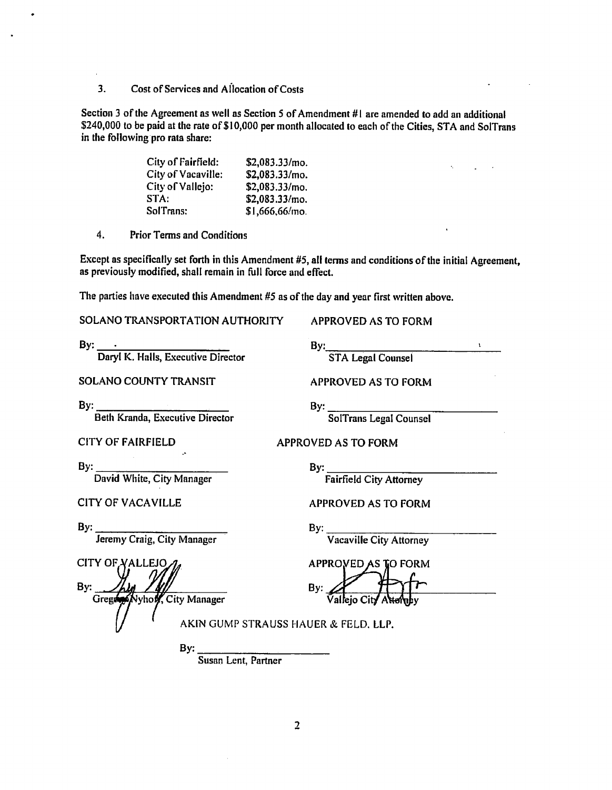Cost of Services and Allocation of Costs  $3.$ 

Section 3 of the Agreement as well as Section 5 of Amendment #1 are amended to add an additional \$240,000 to be paid at the rate of \$10,000 per month allocated to each of the Cities. STA and SolTrans in the following pro rata share:

| City of Fairfield: | \$2,083.33/mo.    |
|--------------------|-------------------|
| City of Vacaville: | \$2,083.33/mo.    |
| City of Vallejo:   | $$2,083.33/mol$ . |
| STA:               | \$2,083.33/mo.    |
| SolTrans:          | \$1,666,66/mo.    |

 $\overline{4}$ . **Prior Terms and Conditions** 

Except as specifically set forth in this Amendment #5, all terms and conditions of the initial Agreement. as previously modified, shall remain in full force and effect.

The parties have executed this Amendment #5 as of the day and year first written above.

SOLANO TRANSPORTATION AUTHORITY

**APPROVED AS TO FORM** 

By: STA Legal Counsel

By: Daryl K. Halls, Executive Director

**SOLANO COUNTY TRANSIT** 

 $By:$ Beth Kranda, Executive Director

SolTrans Legal Counsel

**APPROVED AS TO FORM** 

APPROVED AS TO FORM

 $By:$ 

David White, City Manager

**CITY OF VACAVILLE** 

**CITY OF FAIRFIELD** 

Bv:

Jeremy Craig, City Manager

**CITY OF VALLEJO** By: Viyhov, City Manager Gregor

By:

 $\mathbf{By:}$ 

**Fairfield City Attorney** 

**APPROVED AS TO FORM** 

By:

**Vacaville City Attorney** 

APPROVED AS TO FORM By:

AKIN GUMP STRAUSS HAUER & FELD, LLP.

By:

Susan Lent, Partner